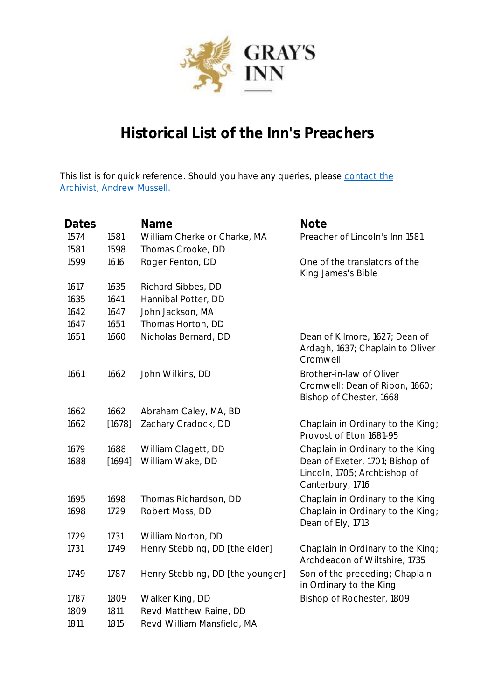

## **Historical List of the Inn's Preachers**

This list is for quick reference. Should you have any queries, please contact the [Archivist, Andrew Mussell.](mailto:andrew.mussell@graysinn.org.uk)

| Dates |        | Name                             | <b>Note</b>                                                                           |
|-------|--------|----------------------------------|---------------------------------------------------------------------------------------|
| 1574  | 1581   | William Cherke or Charke, MA     | Preacher of Lincoln's Inn 1581                                                        |
| 1581  | 1598   | Thomas Crooke, DD                |                                                                                       |
| 1599  | 1616   | Roger Fenton, DD                 | One of the translators of the<br>King James's Bible                                   |
| 1617  | 1635   | Richard Sibbes, DD               |                                                                                       |
| 1635  | 1641   | Hannibal Potter, DD              |                                                                                       |
| 1642  | 1647   | John Jackson, MA                 |                                                                                       |
| 1647  | 1651   | Thomas Horton, DD                |                                                                                       |
| 1651  | 1660   | Nicholas Bernard, DD             | Dean of Kilmore, 1627; Dean of<br>Ardagh, 1637; Chaplain to Oliver<br>Cromwell        |
| 1661  | 1662   | John Wilkins, DD                 | Brother-in-law of Oliver<br>Cromwell; Dean of Ripon, 1660;<br>Bishop of Chester, 1668 |
| 1662  | 1662   | Abraham Caley, MA, BD            |                                                                                       |
| 1662  | [1678] | Zachary Cradock, DD              | Chaplain in Ordinary to the King;<br>Provost of Eton 1681-95                          |
| 1679  | 1688   | William Clagett, DD              | Chaplain in Ordinary to the King                                                      |
| 1688  | [1694] | William Wake, DD                 | Dean of Exeter, 1701; Bishop of<br>Lincoln, 1705; Archbishop of<br>Canterbury, 1716   |
| 1695  | 1698   | Thomas Richardson, DD            | Chaplain in Ordinary to the King                                                      |
| 1698  | 1729   | Robert Moss, DD                  | Chaplain in Ordinary to the King;<br>Dean of Ely, 1713                                |
| 1729  | 1731   | William Norton, DD               |                                                                                       |
| 1731  | 1749   | Henry Stebbing, DD [the elder]   | Chaplain in Ordinary to the King;<br>Archdeacon of Wiltshire, 1735                    |
| 1749  | 1787   | Henry Stebbing, DD [the younger] | Son of the preceding; Chaplain<br>in Ordinary to the King                             |
| 1787  | 1809   | Walker King, DD                  | Bishop of Rochester, 1809                                                             |
| 1809  | 1811   | Revd Matthew Raine, DD           |                                                                                       |
| 1811  | 1815   | Revd William Mansfield, MA       |                                                                                       |